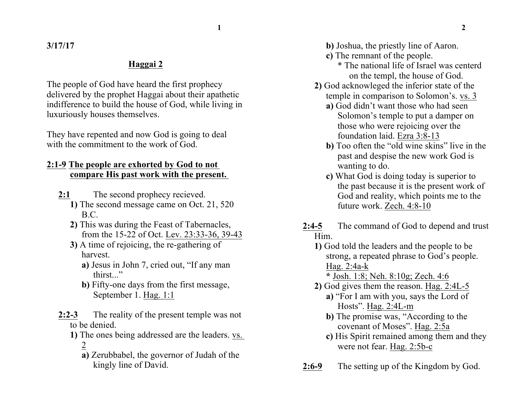**1 2**

**3/17/17**

## **Haggai 2**

The people of God have heard the first prophecy delivered by the prophet Haggai about their apathetic indifference to build the house of God, while living in luxuriously houses themselves.

They have repented and now God is going to deal with the commitment to the work of God.

## **2:1-9 The people are exhorted by God to not compare His past work with the present.**

- **2:1** The second prophecy recieved.
	- **1)** The second message came on Oct. 21, 520 B.C.
	- **2)** This was during the Feast of Tabernacles, from the 15-22 of Oct. Lev. 23:33-36, 39-43
	- **3)** A time of rejoicing, the re-gathering of harvest.
		- **a)** Jesus in John 7, cried out, "If any man thirst."
		- **b)** Fifty-one days from the first message, September 1. Hag. 1:1
- **2:2-3** The reality of the present temple was not to be denied.
	- **1)** The ones being addressed are the leaders. vs. 2
		- **a)** Zerubbabel, the governor of Judah of the kingly line of David.

**b)** Joshua, the priestly line of Aaron.

- **c)** The remnant of the people.
	- \* The national life of Israel was centerd on the templ, the house of God.
- **2)** God acknowleged the inferior state of the temple in comparison to Solomon's. vs. 3
	- **a)** God didn't want those who had seen Solomon's temple to put a damper on those who were rejoicing over the foundation laid. Ezra 3:8-13
	- **b**) Too often the "old wine skins" live in the past and despise the new work God is wanting to do.
	- **c)** What God is doing today is superior to the past because it is the present work of God and reality, which points me to the future work. Zech. 4:8-10
- **2:4-5** The command of God to depend and trust Him.
	- **1)** God told the leaders and the people to be strong, a repeated phrase to God's people. Hag. 2:4a-k
		- **\*** Josh. 1:8; Neh. 8:10g; Zech. 4:6
	- **2)** God gives them the reason. Hag. 2:4L-5
		- **a)** "For I am with you, says the Lord of Hosts". Hag. 2:4L-m
		- **b)** The promise was, "According to the covenant of Moses". Hag. 2:5a
		- **c)** His Spirit remained among them and they were not fear. Hag. 2:5b-c
- **2:6-9** The setting up of the Kingdom by God.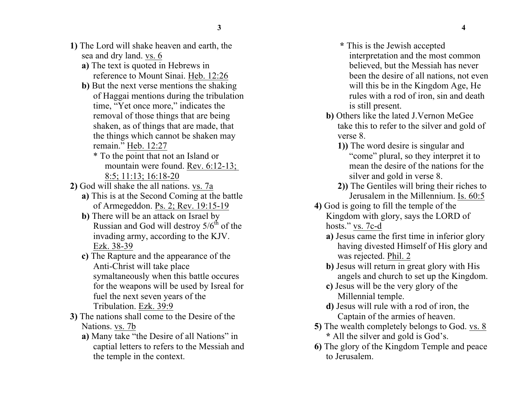- **1)** The Lord will shake heaven and earth, the sea and dry land. vs. 6
	- **a)** The text is quoted in Hebrews in reference to Mount Sinai. Heb. 12:26
	- **b**) But the next verse mentions the shaking of Haggai mentions during the tribulation time, "Yet once more," indicates the removal of those things that are being shaken, as of things that are made, that the things which cannot be shaken may remain." Heb. 12:27
		- \* To the point that not an Island or mountain were found. Rev. 6:12-13; 8:5; 11:13; 16:18-20
- **2)** God will shake the all nations. vs. 7a
	- **a)** This is at the Second Coming at the battle of Armegeddon. Ps. 2; Rev. 19:15-19
	- **b**) There will be an attack on Israel by Russian and God will destroy  $5/6<sup>th</sup>$  of the invading army, according to the KJV. Ezk. 38-39
	- **c)** The Rapture and the appearance of the Anti-Christ will take place symaltaneously when this battle occures for the weapons will be used by Isreal for fuel the next seven years of the Tribulation. Ezk. 39:9
- **3)** The nations shall come to the Desire of the Nations. vs. 7b
	- **a)** Many take "the Desire of all Nations" in captial letters to refers to the Messiah and the temple in the context.
- **\*** This is the Jewish accepted interpretation and the most common believed, but the Messiah has never been the desire of all nations, not even will this be in the Kingdom Age, He rules with a rod of iron, sin and death is still present.
- **b)** Others like the lated J.Vernon MeGee take this to refer to the silver and gold of verse 8.
	- **1))** The word desire is singular and "come" plural, so they interpret it to mean the desire of the nations for the silver and gold in verse 8.
	- **2))** The Gentiles will bring their riches to Jerusalem in the Millennium. Is. 60:5
- **4)** God is going to fill the temple of the Kingdom with glory, says the LORD of hosts." vs. 7c-d
	- **a)** Jesus came the first time in inferior glory having divested Himself of His glory and was rejected. Phil. 2
	- **b)** Jesus will return in great glory with His angels and church to set up the Kingdom.
	- **c)** Jesus will be the very glory of the Millennial temple.
	- **d)** Jesus will rule with a rod of iron, the Captain of the armies of heaven.
- **5)** The wealth completely belongs to God. vs. 8 **\*** All the silver and gold is God's.
- **6)** The glory of the Kingdom Temple and peace to Jerusalem.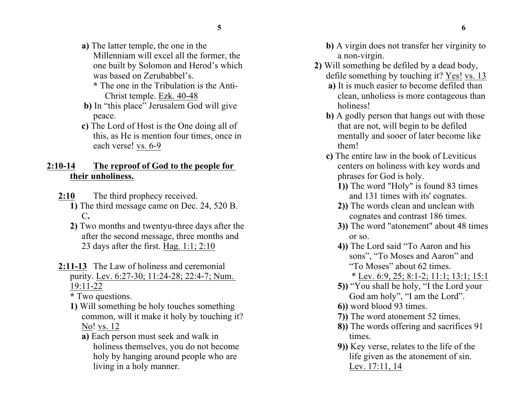- **5 6**
- **a)** The latter temple, the one in the Millenniam will excel all the former, the one built by Solomon and Herod's which was based on Zerubabbel's.
	- **\*** The one in the Tribulation is the Anti-Christ temple. Ezk. 40-48
- **b)** In "this place" Jerusalem God will give peace.
- **c)** The Lord of Host is the One doing all of this, as He is mention four times, once in each verse! vs. 6-9

## **2:10-14 The reproof of God to the people for their unholiness.**

- **2:10** The third prophecy received.
	- **1)** The third message came on Dec. 24, 520 B. C**.**
	- **2)** Two months and twentyu-three days after the after the second message, three months and 23 days after the first. Hag. 1:1; 2:10
- **2:11-13** The Law of holiness and ceremonial purity. Lev. 6:27-30; 11:24-28; 22:4-7; Num. 19:11-22
	- **\*** Two questions.
	- **1)** Will something be holy touches something common, will it make it holy by touching it? No! vs. 12
		- **a)** Each person must seek and walk in holiness themselves, you do not become holy by hanging around people who are living in a holy manner.
- **b)** A virgin does not transfer her virginity to a non-virgin.
- **2)** Will something be defiled by a dead body, defile something by touching it? Yes! vs. 13
	- **a)** It is much easier to become defiled than clean, unholiess is more contageous than holiness!
	- **b)** A godly person that hangs out with those that are not, will begin to be defiled mentally and sooer of later become like them!
	- **c)** The entire law in the book of Leviticus centers on holiness with key words and phrases for God is holy.
		- **1))** The word "Holy" is found 83 times and 131 times with its' cognates.
		- **2))** The words clean and unclean with cognates and contrast 186 times.
		- **3))** The word "atonement" about 48 times or so.
		- **4))** The Lord said "To Aaron and his sons", "To Moses and Aaron" and "To Moses" about 62 times.
			- \* Lev. 6:9, 25; 8:1-2; 11:1; 13:1; 15:1
		- **5))** "You shall be holy, "I the Lord your God am holy", "I am the Lord".
		- **6))** word blood 93 times.
		- **7))** The word atonement 52 times.
		- **8))** The words offering and sacrifices 91 times.
		- **9))** Key verse, relates to the life of the life given as the atonement of sin. Lev. 17:11, 14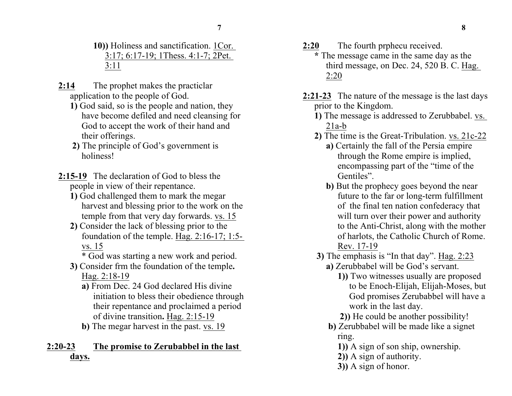- **10))** Holiness and sanctification. 1Cor. 3:17; 6:17-19; 1Thess. 4:1-7; 2Pet. 3:11
- **2:14** The prophet makes the practiclar application to the people of God.
	- **1)** God said, so is the people and nation, they have become defiled and need cleansing for God to accept the work of their hand and their offerings.
	- **2)** The principle of God's government is holiness!
- **2:15-19** The declaration of God to bless the people in view of their repentance.
	- **1)** God challenged them to mark the megar harvest and blessing prior to the work on the temple from that very day forwards. vs. 15
	- **2)** Consider the lack of blessing prior to the foundation of the temple. Hag. 2:16-17; 1:5 vs. 15
		- \* God was starting a new work and period.
	- **3)** Consider frm the foundation of the temple**.** Hag. 2:18-19
		- **a)** From Dec. 24 God declared His divine initiation to bless their obedience through their repentance and proclaimed a period of divine transition**.** Hag. 2:15-19
		- **b)** The megar harvest in the past. vs. 19

## **2:20-23 The promise to Zerubabbel in the last days.**

- **2:20** The fourth prphecu received.
	- **\*** The message came in the same day as the third message, on Dec. 24, 520 B. C. Hag. 2:20
- **2:21-23** The nature of the message is the last days prior to the Kingdom.
	- **1)** The message is addressed to Zerubbabel. vs.  $21a-b$
	- **2)** The time is the Great-Tribulation. vs. 21c-22
		- **a)** Certainly the fall of the Persia empire through the Rome empire is implied, encompassing part of the "time of the Gentiles".
		- **b**) But the prophecy goes beyond the near future to the far or long-term fulfillment of the final ten nation confederacy that will turn over their power and authority to the Anti-Christ, along with the mother of harlots, the Catholic Church of Rome. Rev. 17-19
	- **3)** The emphasis is "In that day". Hag. 2:23
		- **a)** Zerubbabel will be God's servant.
			- **1))** Two witnesses usually are proposed to be Enoch-Elijah, Elijah-Moses, but God promises Zerubabbel will have a work in the last day.
			- **2))** He could be another possibility!
		- **b)** Zerubbabel will be made like a signet ring.
			- **1))** A sign of son ship, ownership.
			- **2))** A sign of authority.
			- **3))** A sign of honor.